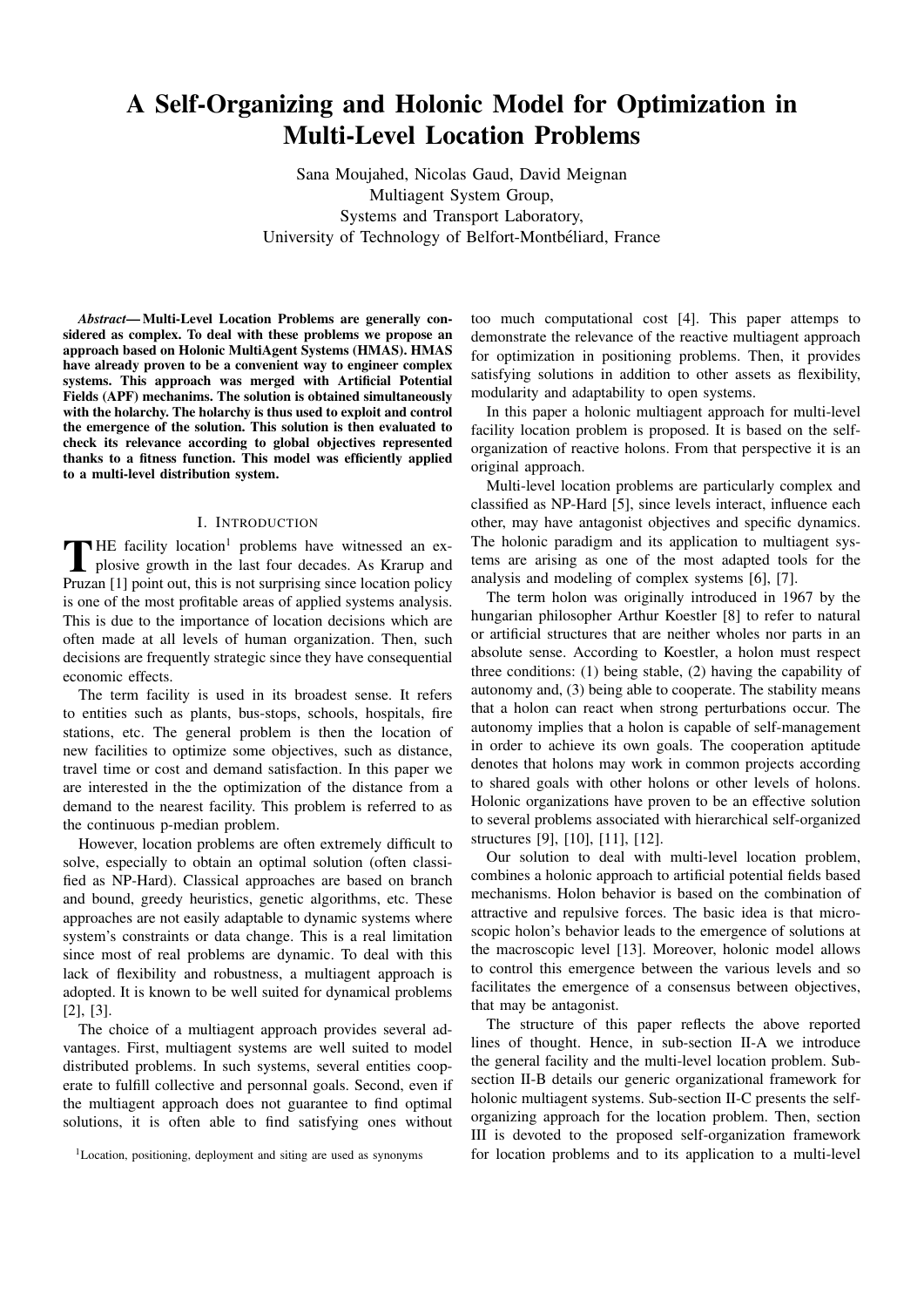# A Self-Organizing and Holonic Model for Optimization in Multi-Level Location Problems

Sana Moujahed, Nicolas Gaud, David Meignan Multiagent System Group, Systems and Transport Laboratory, University of Technology of Belfort-Montbeliard, France ´

*Abstract*— Multi-Level Location Problems are generally considered as complex. To deal with these problems we propose an approach based on Holonic MultiAgent Systems (HMAS). HMAS have already proven to be a convenient way to engineer complex systems. This approach was merged with Artificial Potential Fields (APF) mechanims. The solution is obtained simultaneously with the holarchy. The holarchy is thus used to exploit and control the emergence of the solution. This solution is then evaluated to check its relevance according to global objectives represented thanks to a fitness function. This model was efficiently applied to a multi-level distribution system.

#### I. INTRODUCTION

THE facility location<sup>1</sup> problems have witnessed an ex-<br>plosive growth in the last four decades. As Krarup and<br>Proper Ull point out this is not sumplied a close location as lines plosive growth in the last four decades. As Krarup and Pruzan [1] point out, this is not surprising since location policy is one of the most profitable areas of applied systems analysis. This is due to the importance of location decisions which are often made at all levels of human organization. Then, such decisions are frequently strategic since they have consequential economic effects.

The term facility is used in its broadest sense. It refers to entities such as plants, bus-stops, schools, hospitals, fire stations, etc. The general problem is then the location of new facilities to optimize some objectives, such as distance, travel time or cost and demand satisfaction. In this paper we are interested in the the optimization of the distance from a demand to the nearest facility. This problem is referred to as the continuous p-median problem.

However, location problems are often extremely difficult to solve, especially to obtain an optimal solution (often classified as NP-Hard). Classical approaches are based on branch and bound, greedy heuristics, genetic algorithms, etc. These approaches are not easily adaptable to dynamic systems where system's constraints or data change. This is a real limitation since most of real problems are dynamic. To deal with this lack of flexibility and robustness, a multiagent approach is adopted. It is known to be well suited for dynamical problems [2], [3].

The choice of a multiagent approach provides several advantages. First, multiagent systems are well suited to model distributed problems. In such systems, several entities cooperate to fulfill collective and personnal goals. Second, even if the multiagent approach does not guarantee to find optimal solutions, it is often able to find satisfying ones without

too much computational cost [4]. This paper attemps to demonstrate the relevance of the reactive multiagent approach for optimization in positioning problems. Then, it provides satisfying solutions in addition to other assets as flexibility, modularity and adaptability to open systems.

In this paper a holonic multiagent approach for multi-level facility location problem is proposed. It is based on the selforganization of reactive holons. From that perspective it is an original approach.

Multi-level location problems are particularly complex and classified as NP-Hard [5], since levels interact, influence each other, may have antagonist objectives and specific dynamics. The holonic paradigm and its application to multiagent systems are arising as one of the most adapted tools for the analysis and modeling of complex systems [6], [7].

The term holon was originally introduced in 1967 by the hungarian philosopher Arthur Koestler [8] to refer to natural or artificial structures that are neither wholes nor parts in an absolute sense. According to Koestler, a holon must respect three conditions: (1) being stable, (2) having the capability of autonomy and, (3) being able to cooperate. The stability means that a holon can react when strong perturbations occur. The autonomy implies that a holon is capable of self-management in order to achieve its own goals. The cooperation aptitude denotes that holons may work in common projects according to shared goals with other holons or other levels of holons. Holonic organizations have proven to be an effective solution to several problems associated with hierarchical self-organized structures [9], [10], [11], [12].

Our solution to deal with multi-level location problem, combines a holonic approach to artificial potential fields based mechanisms. Holon behavior is based on the combination of attractive and repulsive forces. The basic idea is that microscopic holon's behavior leads to the emergence of solutions at the macroscopic level [13]. Moreover, holonic model allows to control this emergence between the various levels and so facilitates the emergence of a consensus between objectives, that may be antagonist.

The structure of this paper reflects the above reported lines of thought. Hence, in sub-section II-A we introduce the general facility and the multi-level location problem. Subsection II-B details our generic organizational framework for holonic multiagent systems. Sub-section II-C presents the selforganizing approach for the location problem. Then, section III is devoted to the proposed self-organization framework for location problems and to its application to a multi-level

<sup>1</sup>Location, positioning, deployment and siting are used as synonyms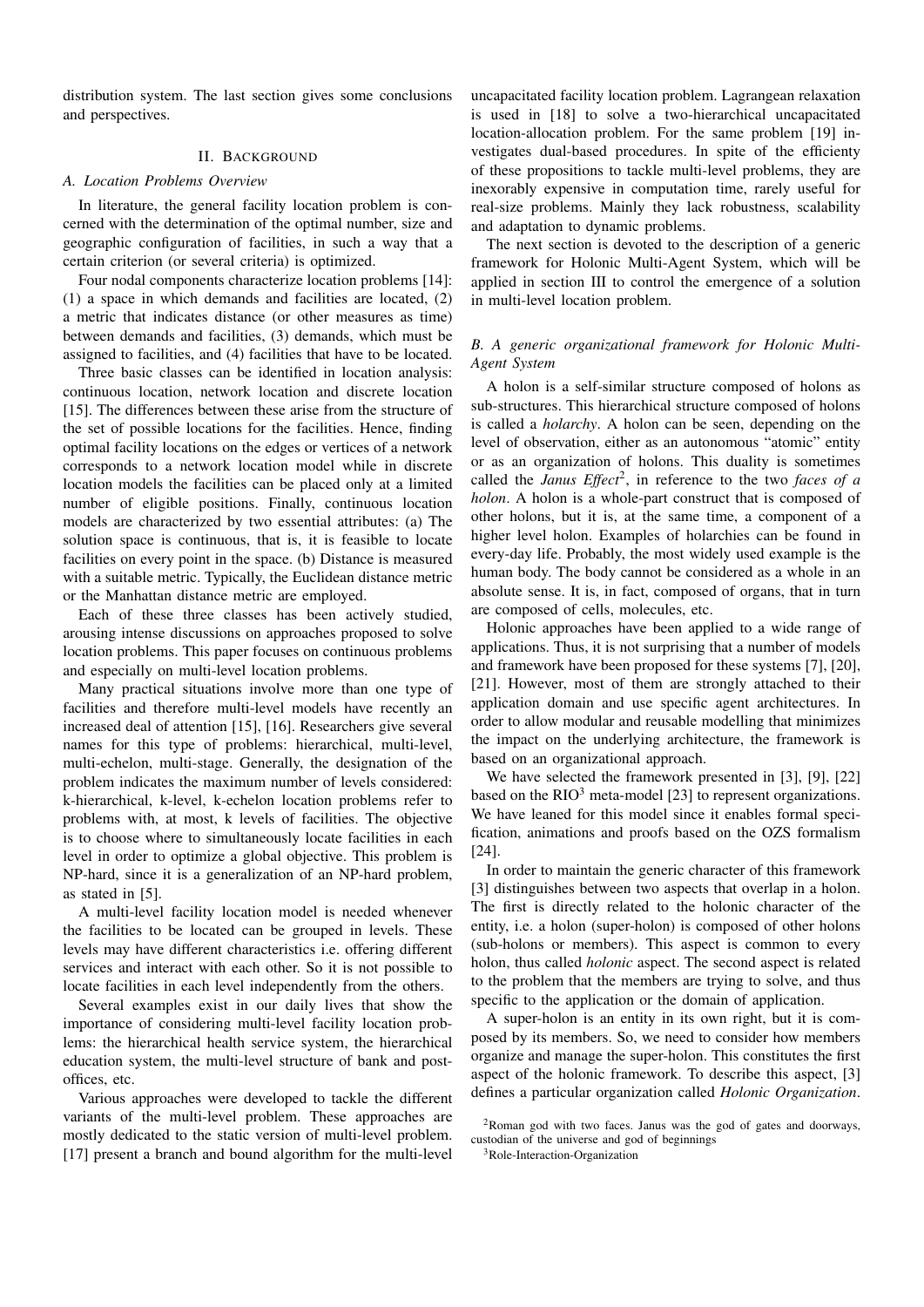distribution system. The last section gives some conclusions and perspectives.

#### II. BACKGROUND

#### *A. Location Problems Overview*

In literature, the general facility location problem is concerned with the determination of the optimal number, size and geographic configuration of facilities, in such a way that a certain criterion (or several criteria) is optimized.

Four nodal components characterize location problems [14]: (1) a space in which demands and facilities are located, (2) a metric that indicates distance (or other measures as time) between demands and facilities, (3) demands, which must be assigned to facilities, and (4) facilities that have to be located.

Three basic classes can be identified in location analysis: continuous location, network location and discrete location [15]. The differences between these arise from the structure of the set of possible locations for the facilities. Hence, finding optimal facility locations on the edges or vertices of a network corresponds to a network location model while in discrete location models the facilities can be placed only at a limited number of eligible positions. Finally, continuous location models are characterized by two essential attributes: (a) The solution space is continuous, that is, it is feasible to locate facilities on every point in the space. (b) Distance is measured with a suitable metric. Typically, the Euclidean distance metric or the Manhattan distance metric are employed.

Each of these three classes has been actively studied, arousing intense discussions on approaches proposed to solve location problems. This paper focuses on continuous problems and especially on multi-level location problems.

Many practical situations involve more than one type of facilities and therefore multi-level models have recently an increased deal of attention [15], [16]. Researchers give several names for this type of problems: hierarchical, multi-level, multi-echelon, multi-stage. Generally, the designation of the problem indicates the maximum number of levels considered: k-hierarchical, k-level, k-echelon location problems refer to problems with, at most, k levels of facilities. The objective is to choose where to simultaneously locate facilities in each level in order to optimize a global objective. This problem is NP-hard, since it is a generalization of an NP-hard problem, as stated in [5].

A multi-level facility location model is needed whenever the facilities to be located can be grouped in levels. These levels may have different characteristics i.e. offering different services and interact with each other. So it is not possible to locate facilities in each level independently from the others.

Several examples exist in our daily lives that show the importance of considering multi-level facility location problems: the hierarchical health service system, the hierarchical education system, the multi-level structure of bank and postoffices, etc.

Various approaches were developed to tackle the different variants of the multi-level problem. These approaches are mostly dedicated to the static version of multi-level problem. [17] present a branch and bound algorithm for the multi-level uncapacitated facility location problem. Lagrangean relaxation is used in [18] to solve a two-hierarchical uncapacitated location-allocation problem. For the same problem [19] investigates dual-based procedures. In spite of the efficienty of these propositions to tackle multi-level problems, they are inexorably expensive in computation time, rarely useful for real-size problems. Mainly they lack robustness, scalability and adaptation to dynamic problems.

The next section is devoted to the description of a generic framework for Holonic Multi-Agent System, which will be applied in section III to control the emergence of a solution in multi-level location problem.

## *B. A generic organizational framework for Holonic Multi-Agent System*

A holon is a self-similar structure composed of holons as sub-structures. This hierarchical structure composed of holons is called a *holarchy*. A holon can be seen, depending on the level of observation, either as an autonomous "atomic" entity or as an organization of holons. This duality is sometimes called the *Janus Effect*<sup>2</sup>, in reference to the two *faces of a holon*. A holon is a whole-part construct that is composed of other holons, but it is, at the same time, a component of a higher level holon. Examples of holarchies can be found in every-day life. Probably, the most widely used example is the human body. The body cannot be considered as a whole in an absolute sense. It is, in fact, composed of organs, that in turn are composed of cells, molecules, etc.

Holonic approaches have been applied to a wide range of applications. Thus, it is not surprising that a number of models and framework have been proposed for these systems [7], [20], [21]. However, most of them are strongly attached to their application domain and use specific agent architectures. In order to allow modular and reusable modelling that minimizes the impact on the underlying architecture, the framework is based on an organizational approach.

We have selected the framework presented in [3], [9], [22] based on the  $RIO<sup>3</sup>$  meta-model [23] to represent organizations. We have leaned for this model since it enables formal specification, animations and proofs based on the OZS formalism [24].

In order to maintain the generic character of this framework [3] distinguishes between two aspects that overlap in a holon. The first is directly related to the holonic character of the entity, i.e. a holon (super-holon) is composed of other holons (sub-holons or members). This aspect is common to every holon, thus called *holonic* aspect. The second aspect is related to the problem that the members are trying to solve, and thus specific to the application or the domain of application.

A super-holon is an entity in its own right, but it is composed by its members. So, we need to consider how members organize and manage the super-holon. This constitutes the first aspect of the holonic framework. To describe this aspect, [3] defines a particular organization called *Holonic Organization*.

<sup>2</sup>Roman god with two faces. Janus was the god of gates and doorways, custodian of the universe and god of beginnings

<sup>3</sup>Role-Interaction-Organization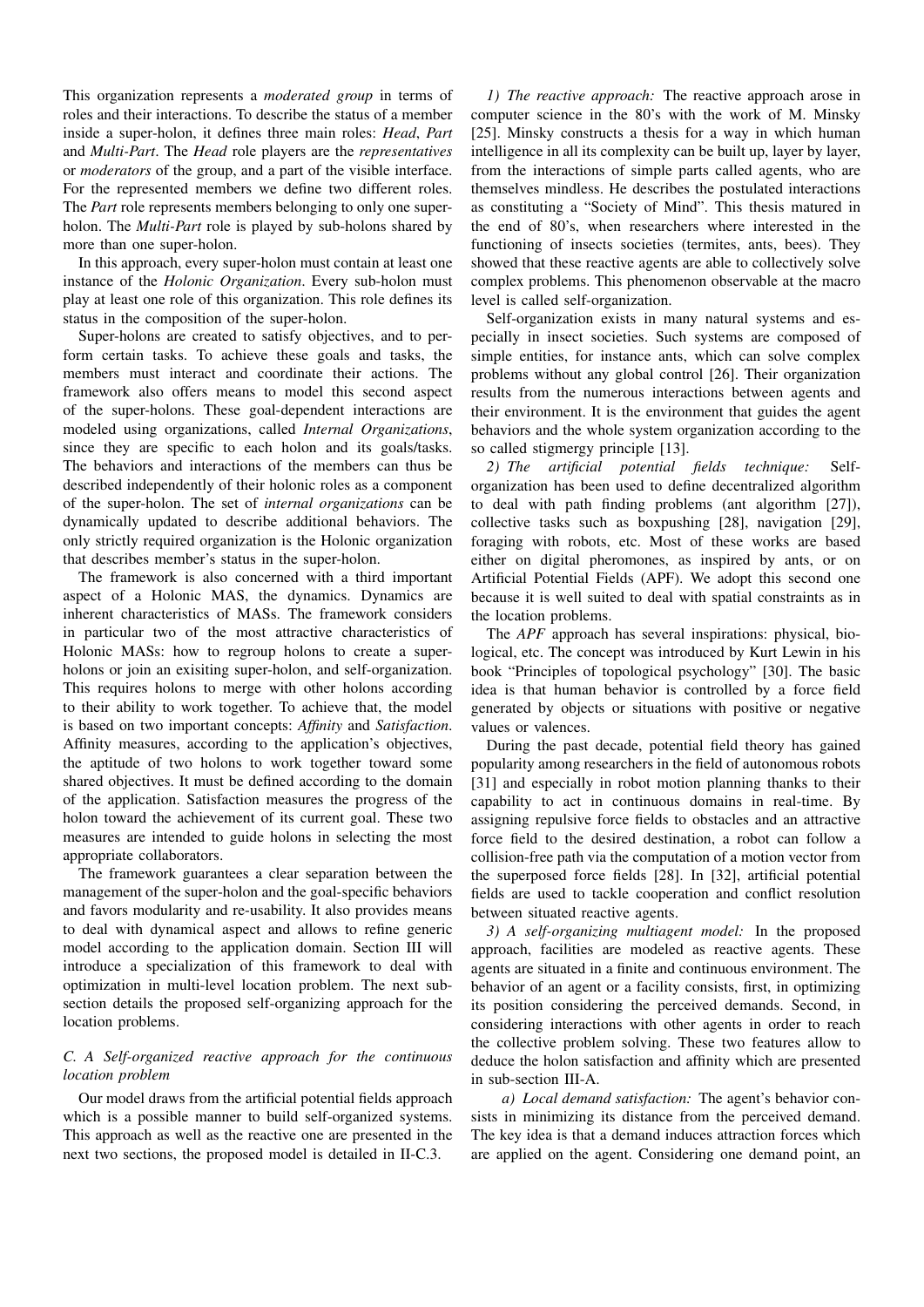This organization represents a *moderated group* in terms of roles and their interactions. To describe the status of a member inside a super-holon, it defines three main roles: *Head*, *Part* and *Multi-Part*. The *Head* role players are the *representatives* or *moderators* of the group, and a part of the visible interface. For the represented members we define two different roles. The *Part* role represents members belonging to only one superholon. The *Multi-Part* role is played by sub-holons shared by more than one super-holon.

In this approach, every super-holon must contain at least one instance of the *Holonic Organization*. Every sub-holon must play at least one role of this organization. This role defines its status in the composition of the super-holon.

Super-holons are created to satisfy objectives, and to perform certain tasks. To achieve these goals and tasks, the members must interact and coordinate their actions. The framework also offers means to model this second aspect of the super-holons. These goal-dependent interactions are modeled using organizations, called *Internal Organizations*, since they are specific to each holon and its goals/tasks. The behaviors and interactions of the members can thus be described independently of their holonic roles as a component of the super-holon. The set of *internal organizations* can be dynamically updated to describe additional behaviors. The only strictly required organization is the Holonic organization that describes member's status in the super-holon.

The framework is also concerned with a third important aspect of a Holonic MAS, the dynamics. Dynamics are inherent characteristics of MASs. The framework considers in particular two of the most attractive characteristics of Holonic MASs: how to regroup holons to create a superholons or join an exisiting super-holon, and self-organization. This requires holons to merge with other holons according to their ability to work together. To achieve that, the model is based on two important concepts: *Affinity* and *Satisfaction*. Affinity measures, according to the application's objectives, the aptitude of two holons to work together toward some shared objectives. It must be defined according to the domain of the application. Satisfaction measures the progress of the holon toward the achievement of its current goal. These two measures are intended to guide holons in selecting the most appropriate collaborators.

The framework guarantees a clear separation between the management of the super-holon and the goal-specific behaviors and favors modularity and re-usability. It also provides means to deal with dynamical aspect and allows to refine generic model according to the application domain. Section III will introduce a specialization of this framework to deal with optimization in multi-level location problem. The next subsection details the proposed self-organizing approach for the location problems.

## *C. A Self-organized reactive approach for the continuous location problem*

Our model draws from the artificial potential fields approach which is a possible manner to build self-organized systems. This approach as well as the reactive one are presented in the next two sections, the proposed model is detailed in II-C.3.

*1) The reactive approach:* The reactive approach arose in computer science in the 80's with the work of M. Minsky [25]. Minsky constructs a thesis for a way in which human intelligence in all its complexity can be built up, layer by layer, from the interactions of simple parts called agents, who are themselves mindless. He describes the postulated interactions as constituting a "Society of Mind". This thesis matured in the end of 80's, when researchers where interested in the functioning of insects societies (termites, ants, bees). They showed that these reactive agents are able to collectively solve complex problems. This phenomenon observable at the macro level is called self-organization.

Self-organization exists in many natural systems and especially in insect societies. Such systems are composed of simple entities, for instance ants, which can solve complex problems without any global control [26]. Their organization results from the numerous interactions between agents and their environment. It is the environment that guides the agent behaviors and the whole system organization according to the so called stigmergy principle [13].

*2) The artificial potential fields technique:* Selforganization has been used to define decentralized algorithm to deal with path finding problems (ant algorithm [27]), collective tasks such as boxpushing [28], navigation [29], foraging with robots, etc. Most of these works are based either on digital pheromones, as inspired by ants, or on Artificial Potential Fields (APF). We adopt this second one because it is well suited to deal with spatial constraints as in the location problems.

The *APF* approach has several inspirations: physical, biological, etc. The concept was introduced by Kurt Lewin in his book "Principles of topological psychology" [30]. The basic idea is that human behavior is controlled by a force field generated by objects or situations with positive or negative values or valences.

During the past decade, potential field theory has gained popularity among researchers in the field of autonomous robots [31] and especially in robot motion planning thanks to their capability to act in continuous domains in real-time. By assigning repulsive force fields to obstacles and an attractive force field to the desired destination, a robot can follow a collision-free path via the computation of a motion vector from the superposed force fields [28]. In [32], artificial potential fields are used to tackle cooperation and conflict resolution between situated reactive agents.

*3) A self-organizing multiagent model:* In the proposed approach, facilities are modeled as reactive agents. These agents are situated in a finite and continuous environment. The behavior of an agent or a facility consists, first, in optimizing its position considering the perceived demands. Second, in considering interactions with other agents in order to reach the collective problem solving. These two features allow to deduce the holon satisfaction and affinity which are presented in sub-section III-A.

*a) Local demand satisfaction:* The agent's behavior consists in minimizing its distance from the perceived demand. The key idea is that a demand induces attraction forces which are applied on the agent. Considering one demand point, an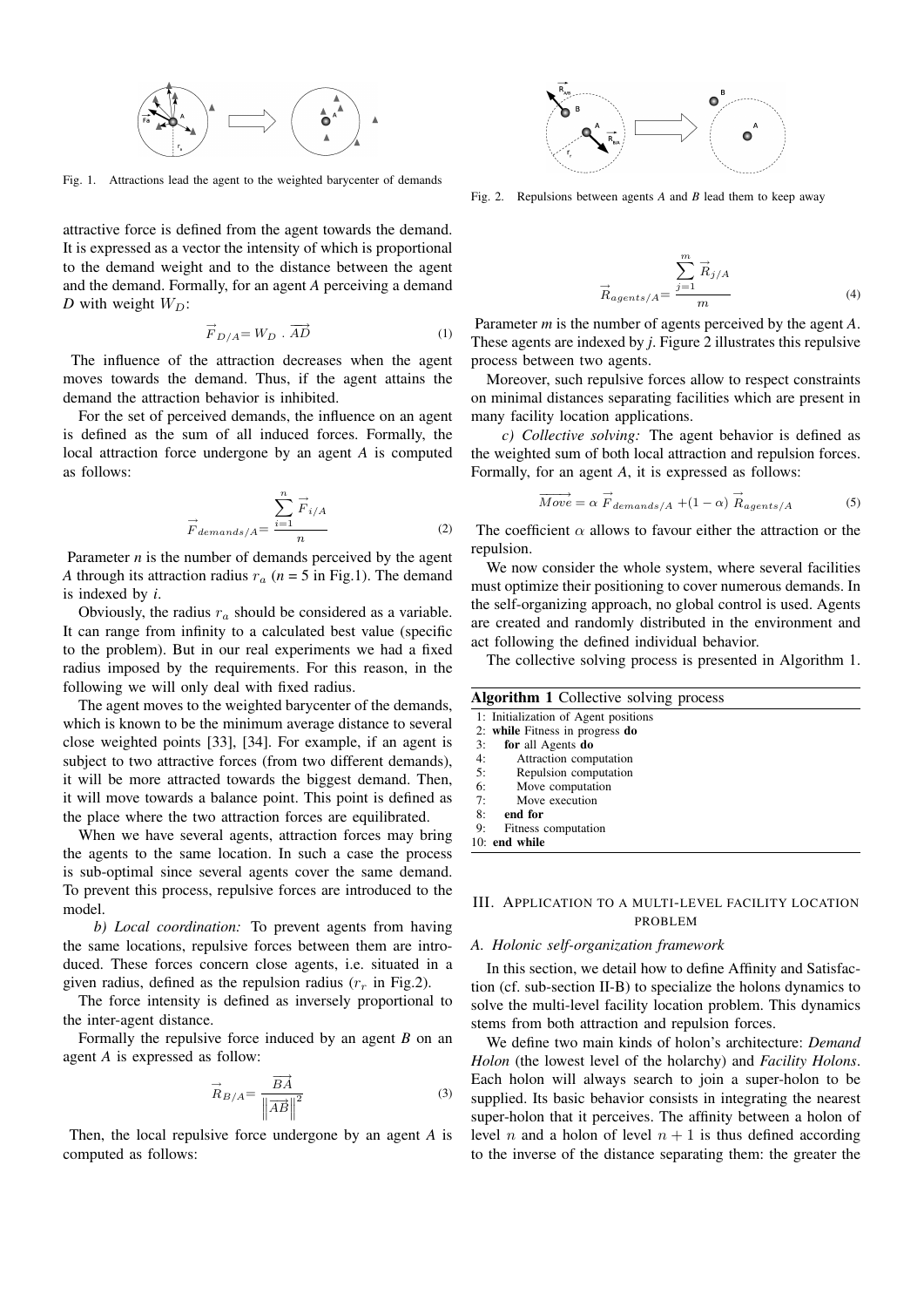

Fig. 1. Attractions lead the agent to the weighted barycenter of demands

attractive force is defined from the agent towards the demand. It is expressed as a vector the intensity of which is proportional to the demand weight and to the distance between the agent and the demand. Formally, for an agent *A* perceiving a demand *D* with weight  $W_D$ :

$$
\vec{F}_{D/A} = W_D \cdot \overrightarrow{AD} \tag{1}
$$

The influence of the attraction decreases when the agent moves towards the demand. Thus, if the agent attains the demand the attraction behavior is inhibited.

For the set of perceived demands, the influence on an agent is defined as the sum of all induced forces. Formally, the local attraction force undergone by an agent *A* is computed as follows:

$$
\overrightarrow{F}_{demands/A} = \frac{\sum_{i=1}^{n} \overrightarrow{F}_{i/A}}{n}
$$
 (2)

Parameter *n* is the number of demands perceived by the agent *A* through its attraction radius  $r_a$  ( $n = 5$  in Fig.1). The demand is indexed by *i*.

Obviously, the radius  $r_a$  should be considered as a variable. It can range from infinity to a calculated best value (specific to the problem). But in our real experiments we had a fixed radius imposed by the requirements. For this reason, in the following we will only deal with fixed radius.

The agent moves to the weighted barycenter of the demands, which is known to be the minimum average distance to several close weighted points [33], [34]. For example, if an agent is subject to two attractive forces (from two different demands), it will be more attracted towards the biggest demand. Then, it will move towards a balance point. This point is defined as the place where the two attraction forces are equilibrated.

When we have several agents, attraction forces may bring the agents to the same location. In such a case the process is sub-optimal since several agents cover the same demand. To prevent this process, repulsive forces are introduced to the model.

*b) Local coordination:* To prevent agents from having the same locations, repulsive forces between them are introduced. These forces concern close agents, i.e. situated in a given radius, defined as the repulsion radius  $(r_r$  in Fig.2).

The force intensity is defined as inversely proportional to the inter-agent distance.

Formally the repulsive force induced by an agent *B* on an agent *A* is expressed as follow:

$$
\vec{R}_{B/A} = \frac{\vec{BA}}{\left\| \vec{AB} \right\|^2} \tag{3}
$$

Then, the local repulsive force undergone by an agent *A* is computed as follows:



Fig. 2. Repulsions between agents *A* and *B* lead them to keep away

$$
\vec{R}_{agents/A} = \frac{\sum_{j=1}^{m} \vec{R}_{j/A}}{m}
$$
 (4)

Parameter *m* is the number of agents perceived by the agent *A*. These agents are indexed by *j*. Figure 2 illustrates this repulsive process between two agents.

Moreover, such repulsive forces allow to respect constraints on minimal distances separating facilities which are present in many facility location applications.

*c) Collective solving:* The agent behavior is defined as the weighted sum of both local attraction and repulsion forces. Formally, for an agent *A*, it is expressed as follows:

$$
\overrightarrow{Move} = \alpha \overrightarrow{F}_{demands/A} + (1 - \alpha) \overrightarrow{R}_{agents/A}
$$
 (5)

The coefficient  $\alpha$  allows to favour either the attraction or the repulsion.

We now consider the whole system, where several facilities must optimize their positioning to cover numerous demands. In the self-organizing approach, no global control is used. Agents are created and randomly distributed in the environment and act following the defined individual behavior.

The collective solving process is presented in Algorithm 1.

| <b>Algorithm 1</b> Collective solving process |                                      |  |  |  |
|-----------------------------------------------|--------------------------------------|--|--|--|
|                                               | 1: Initialization of Agent positions |  |  |  |
|                                               | 2: while Fitness in progress do      |  |  |  |
| 3:                                            | for all Agents do                    |  |  |  |
| 4:                                            | Attraction computation               |  |  |  |
| 5:                                            | Repulsion computation                |  |  |  |
| 6:                                            | Move computation                     |  |  |  |
| 7:                                            | Move execution                       |  |  |  |
| 8:                                            | end for                              |  |  |  |
| 9:                                            | Fitness computation                  |  |  |  |
|                                               | $10:$ end while                      |  |  |  |
|                                               |                                      |  |  |  |

#### III. APPLICATION TO A MULTI-LEVEL FACILITY LOCATION PROBLEM

### *A. Holonic self-organization framework*

In this section, we detail how to define Affinity and Satisfaction (cf. sub-section II-B) to specialize the holons dynamics to solve the multi-level facility location problem. This dynamics stems from both attraction and repulsion forces.

We define two main kinds of holon's architecture: *Demand Holon* (the lowest level of the holarchy) and *Facility Holons*. Each holon will always search to join a super-holon to be supplied. Its basic behavior consists in integrating the nearest super-holon that it perceives. The affinity between a holon of level *n* and a holon of level  $n + 1$  is thus defined according to the inverse of the distance separating them: the greater the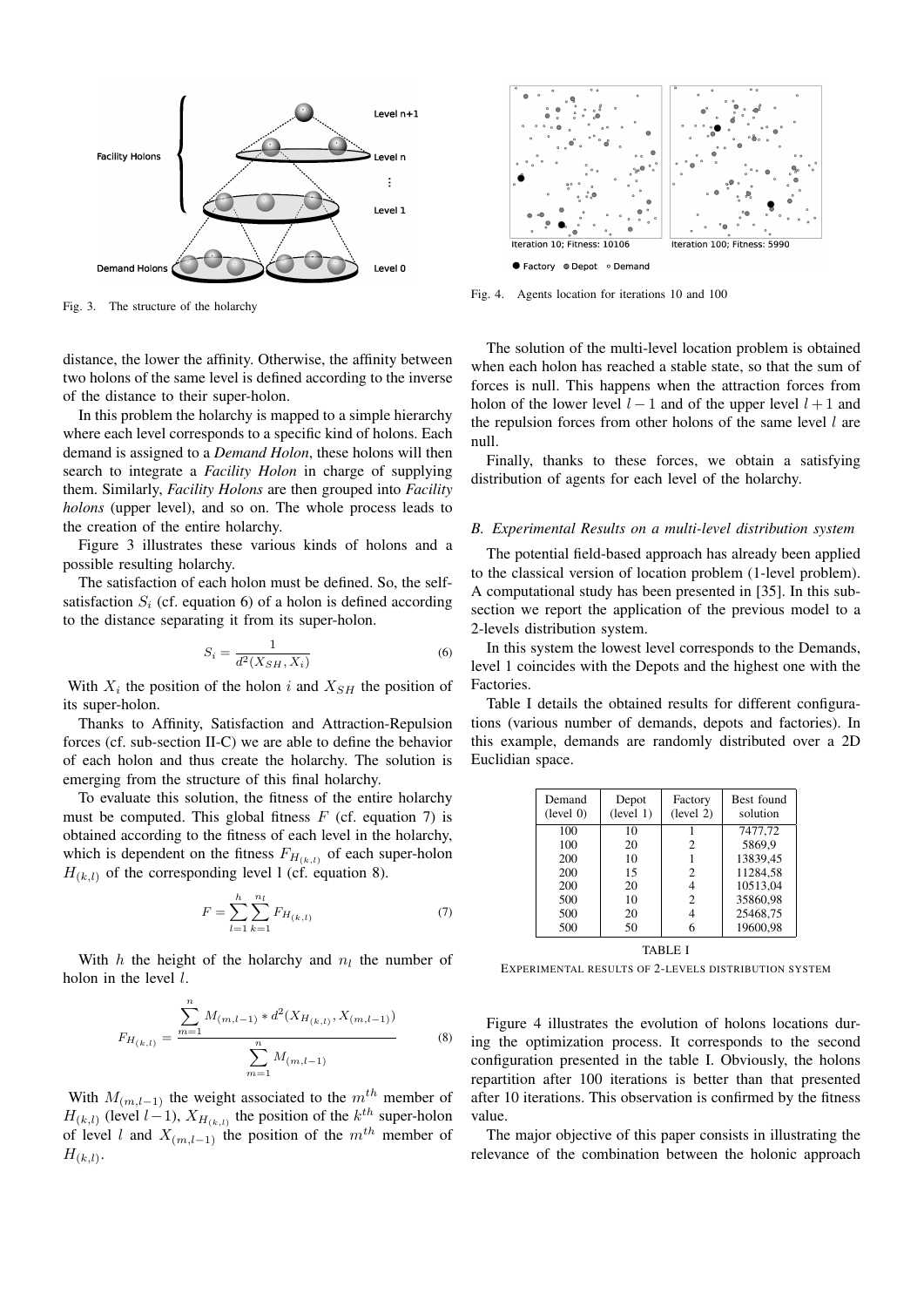

Fig. 3. The structure of the holarchy

distance, the lower the affinity. Otherwise, the affinity between two holons of the same level is defined according to the inverse of the distance to their super-holon.

In this problem the holarchy is mapped to a simple hierarchy where each level corresponds to a specific kind of holons. Each demand is assigned to a *Demand Holon*, these holons will then search to integrate a *Facility Holon* in charge of supplying them. Similarly, *Facility Holons* are then grouped into *Facility holons* (upper level), and so on. The whole process leads to the creation of the entire holarchy.

Figure 3 illustrates these various kinds of holons and a possible resulting holarchy.

The satisfaction of each holon must be defined. So, the selfsatisfaction  $S_i$  (cf. equation 6) of a holon is defined according to the distance separating it from its super-holon.

$$
S_i = \frac{1}{d^2(X_{SH}, X_i)}\tag{6}
$$

With  $X_i$  the position of the holon i and  $X_{SH}$  the position of its super-holon.

Thanks to Affinity, Satisfaction and Attraction-Repulsion forces (cf. sub-section II-C) we are able to define the behavior of each holon and thus create the holarchy. The solution is emerging from the structure of this final holarchy.

To evaluate this solution, the fitness of the entire holarchy must be computed. This global fitness  $F$  (cf. equation 7) is obtained according to the fitness of each level in the holarchy, which is dependent on the fitness  $F_{H_{(k,l)}}$  of each super-holon  $H_{(k,l)}$  of the corresponding level 1 (cf. equation 8).

$$
F = \sum_{l=1}^{h} \sum_{k=1}^{n_l} F_{H_{(k,l)}} \tag{7}
$$

With  $h$  the height of the holarchy and  $n_l$  the number of holon in the level  $l$ .

$$
F_{H_{(k,l)}} = \frac{\sum_{m=1}^{n} M_{(m,l-1)} * d^2(X_{H_{(k,l)}}, X_{(m,l-1)})}{\sum_{m=1}^{n} M_{(m,l-1)}}
$$
(8)

With  $M_{(m,l-1)}$  the weight associated to the  $m^{th}$  member of  $H_{(k,l)}$  (level  $l-1$ ),  $X_{H_{(k,l)}}$  the position of the  $k^{th}$  super-holon of level l and  $X_{(m,l-1)}$  the position of the m<sup>th</sup> member of  $H_{(k,l)}$ .



Fig. 4. Agents location for iterations 10 and 100

The solution of the multi-level location problem is obtained when each holon has reached a stable state, so that the sum of forces is null. This happens when the attraction forces from holon of the lower level  $l - 1$  and of the upper level  $l + 1$  and the repulsion forces from other holons of the same level  $l$  are null.

Finally, thanks to these forces, we obtain a satisfying distribution of agents for each level of the holarchy.

### *B. Experimental Results on a multi-level distribution system*

The potential field-based approach has already been applied to the classical version of location problem (1-level problem). A computational study has been presented in [35]. In this subsection we report the application of the previous model to a 2-levels distribution system.

In this system the lowest level corresponds to the Demands, level 1 coincides with the Depots and the highest one with the Factories.

Table I details the obtained results for different configurations (various number of demands, depots and factories). In this example, demands are randomly distributed over a 2D Euclidian space.

| Demand<br>(level 0) | Depot<br>(level 1) | Factory<br>(level 2) | Best found<br>solution |
|---------------------|--------------------|----------------------|------------------------|
| 100                 | 10                 |                      | 7477,72                |
| 100                 | 20                 | 2                    | 5869,9                 |
| 200                 | 10                 |                      | 13839,45               |
| 200                 | 15                 | 2                    | 11284,58               |
| 200                 | 20                 |                      | 10513.04               |
| 500                 | 10                 | $\mathfrak{D}$       | 35860.98               |
| 500                 | 20                 |                      | 25468.75               |
| 500                 | 50                 |                      | 19600.98               |

TABLE I

EXPERIMENTAL RESULTS OF 2-LEVELS DISTRIBUTION SYSTEM

Figure 4 illustrates the evolution of holons locations during the optimization process. It corresponds to the second configuration presented in the table I. Obviously, the holons repartition after 100 iterations is better than that presented after 10 iterations. This observation is confirmed by the fitness value.

The major objective of this paper consists in illustrating the relevance of the combination between the holonic approach